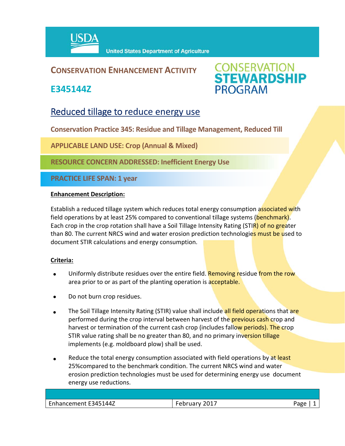

# **CONSERVATION ENHANCEMENT ACTIVITY**

**E345144Z**



# Reduced tillage to reduce energy use

**Conservation Practice 345: Residue and Tillage Management, Reduced Till** 

**APPLICABLE LAND USE: Crop (Annual & Mixed)**

**RESOURCE CONCERN ADDRESSED: Inefficient Energy Use**

**PRACTICE LIFE SPAN: 1 year**

#### **Enhancement Description:**

Establish a reduced tillage system which reduces total energy consumption associated with field operations by at least 25% compared to conventional tillage systems (benchmark). Each crop in the crop rotation shall have a Soil Tillage Intensity Rating (STIR) of no greater than 80. The current NRCS wind and water erosion prediction technologies must be used to document STIR calculations and energy consumption.

## **Criteria:**

- Uniformly distribute residues over the entire field. Removing residue from the row area prior to or as part of the planting operation is acceptable.
- Do not burn crop residues.
- The Soil Tillage Intensity Rating (STIR) value shall include all field operations that are performed during the crop interval between harvest of the **previous cash crop** and harvest or termination of the current cash crop (includes fallow periods). The crop STIR value rating shall be no greater than 80, and no primary inversion tillage implements (e.g. moldboard plow) shall be used.
- Reduce the total energy consumption associated with field operations by at least 25%compared to the benchmark condition. The current NRCS wind and water erosion prediction technologies must be used for determining energy use document energy use reductions.

| $\overline{\phantom{0}}$<br>144Z<br>י∡∆י<br>nancement<br>-- | 7017<br>$\overline{\phantom{a}}$<br>uа.<br><u>uwi</u><br>ິ | 322 |
|-------------------------------------------------------------|------------------------------------------------------------|-----|
|                                                             |                                                            |     |